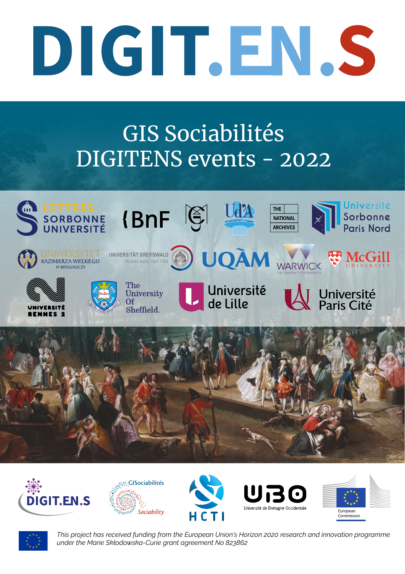## DIGIT.EN.S

## GIS Sociabilités DIGITENS events - 2022















*This project has received funding from the European Union's Horizon 2020 research and innovation programme under the Marie Skłodowska-Curie grant agreement No 823862*